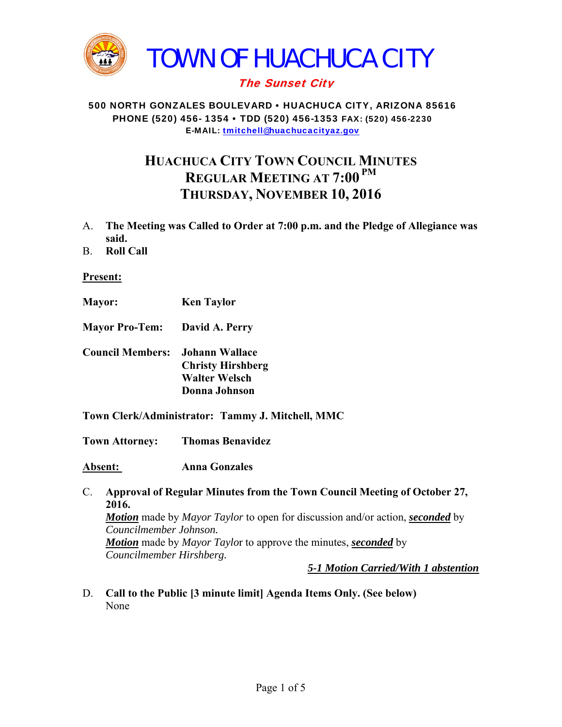

## The Sunset City

#### 500 NORTH GONZALES BOULEVARD • HUACHUCA CITY, ARIZONA 85616 PHONE (520) 456- 1354 • TDD (520) 456-1353 FAX: (520) 456-2230 E-MAIL: tmitchell@huachucacityaz.gov

# **HUACHUCA CITY TOWN COUNCIL MINUTES REGULAR MEETING AT 7:00 PM THURSDAY, NOVEMBER 10, 2016**

- A. **The Meeting was Called to Order at 7:00 p.m. and the Pledge of Allegiance was said.**
- B. **Roll Call**

#### **Present:**

- **Mayor: Ken Taylor**
- **Mayor Pro-Tem: David A. Perry**
- **Council Members: Johann Wallace Christy Hirshberg Walter Welsch Donna Johnson**

#### **Town Clerk/Administrator: Tammy J. Mitchell, MMC**

**Town Attorney: Thomas Benavidez** 

**Absent: Anna Gonzales** 

C. **Approval of Regular Minutes from the Town Council Meeting of October 27, 2016.** *Motion* made by *Mayor Taylor* to open for discussion and/or action, *seconded* by *Councilmember Johnson. Motion* made by *Mayor Taylo*r to approve the minutes, *seconded* by *Councilmember Hirshberg.* 

*5-1 Motion Carried/With 1 abstention*

D. **Call to the Public [3 minute limit] Agenda Items Only. (See below)**  None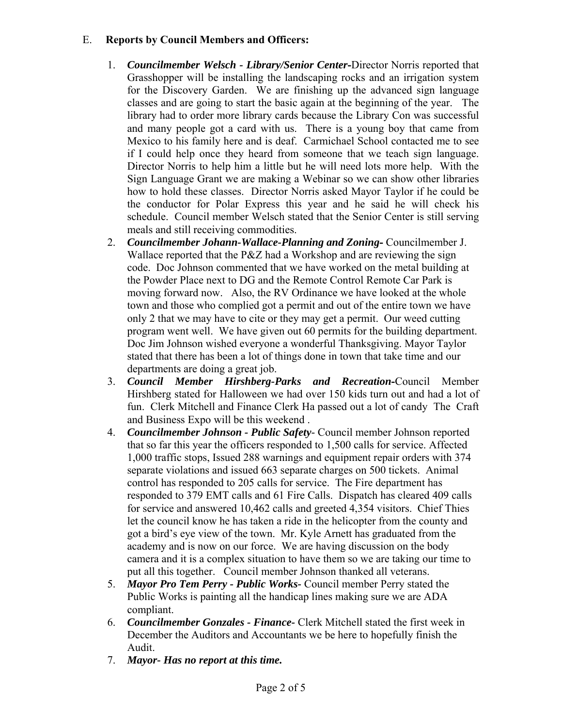## E. **Reports by Council Members and Officers:**

- 1. *Councilmember Welsch Library/Senior Center***-**Director Norris reported that Grasshopper will be installing the landscaping rocks and an irrigation system for the Discovery Garden. We are finishing up the advanced sign language classes and are going to start the basic again at the beginning of the year. The library had to order more library cards because the Library Con was successful and many people got a card with us. There is a young boy that came from Mexico to his family here and is deaf. Carmichael School contacted me to see if I could help once they heard from someone that we teach sign language. Director Norris to help him a little but he will need lots more help. With the Sign Language Grant we are making a Webinar so we can show other libraries how to hold these classes. Director Norris asked Mayor Taylor if he could be the conductor for Polar Express this year and he said he will check his schedule. Council member Welsch stated that the Senior Center is still serving meals and still receiving commodities.
- 2. *Councilmember Johann-Wallace-Planning and Zoning***-** Councilmember J. Wallace reported that the P&Z had a Workshop and are reviewing the sign code. Doc Johnson commented that we have worked on the metal building at the Powder Place next to DG and the Remote Control Remote Car Park is moving forward now. Also, the RV Ordinance we have looked at the whole town and those who complied got a permit and out of the entire town we have only 2 that we may have to cite or they may get a permit. Our weed cutting program went well. We have given out 60 permits for the building department. Doc Jim Johnson wished everyone a wonderful Thanksgiving. Mayor Taylor stated that there has been a lot of things done in town that take time and our departments are doing a great job.
- 3. *Council Member Hirshberg-Parks and Recreation***-**Council Member Hirshberg stated for Halloween we had over 150 kids turn out and had a lot of fun. Clerk Mitchell and Finance Clerk Ha passed out a lot of candy The Craft and Business Expo will be this weekend .
- 4. *Councilmember Johnson Public Safety-* Council member Johnson reported that so far this year the officers responded to 1,500 calls for service. Affected 1,000 traffic stops, Issued 288 warnings and equipment repair orders with 374 separate violations and issued 663 separate charges on 500 tickets. Animal control has responded to 205 calls for service. The Fire department has responded to 379 EMT calls and 61 Fire Calls. Dispatch has cleared 409 calls for service and answered 10,462 calls and greeted 4,354 visitors. Chief Thies let the council know he has taken a ride in the helicopter from the county and got a bird's eye view of the town. Mr. Kyle Arnett has graduated from the academy and is now on our force. We are having discussion on the body camera and it is a complex situation to have them so we are taking our time to put all this together. Council member Johnson thanked all veterans.
- 5. *Mayor Pro Tem Perry Public Works-* Council member Perry stated the Public Works is painting all the handicap lines making sure we are ADA compliant.
- 6. *Councilmember Gonzales Finance-* Clerk Mitchell stated the first week in December the Auditors and Accountants we be here to hopefully finish the Audit.
- 7. *Mayor- Has no report at this time.*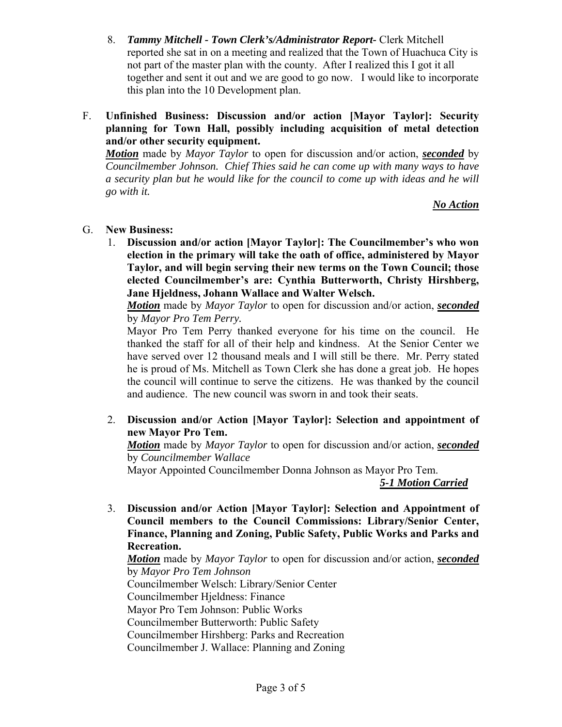- 8. *Tammy Mitchell Town Clerk's/Administrator Report-* Clerk Mitchell reported she sat in on a meeting and realized that the Town of Huachuca City is not part of the master plan with the county. After I realized this I got it all together and sent it out and we are good to go now. I would like to incorporate this plan into the 10 Development plan.
- F. **Unfinished Business: Discussion and/or action [Mayor Taylor]: Security planning for Town Hall, possibly including acquisition of metal detection and/or other security equipment.**

*Motion* made by *Mayor Taylor* to open for discussion and/or action, *seconded* by *Councilmember Johnson. Chief Thies said he can come up with many ways to have a security plan but he would like for the council to come up with ideas and he will go with it.* 

*No Action*

## G. **New Business:**

1. **Discussion and/or action [Mayor Taylor]: The Councilmember's who won election in the primary will take the oath of office, administered by Mayor Taylor, and will begin serving their new terms on the Town Council; those elected Councilmember's are: Cynthia Butterworth, Christy Hirshberg, Jane Hjeldness, Johann Wallace and Walter Welsch.** 

*Motion* made by *Mayor Taylor* to open for discussion and/or action, *seconded* by *Mayor Pro Tem Perry.* 

Mayor Pro Tem Perry thanked everyone for his time on the council. He thanked the staff for all of their help and kindness. At the Senior Center we have served over 12 thousand meals and I will still be there. Mr. Perry stated he is proud of Ms. Mitchell as Town Clerk she has done a great job. He hopes the council will continue to serve the citizens. He was thanked by the council and audience. The new council was sworn in and took their seats.

2. **Discussion and/or Action [Mayor Taylor]: Selection and appointment of new Mayor Pro Tem.** 

*Motion* made by *Mayor Taylor* to open for discussion and/or action, *seconded* by *Councilmember Wallace*

Mayor Appointed Councilmember Donna Johnson as Mayor Pro Tem.

*5-1 Motion Carried*

3. **Discussion and/or Action [Mayor Taylor]: Selection and Appointment of Council members to the Council Commissions: Library/Senior Center, Finance, Planning and Zoning, Public Safety, Public Works and Parks and Recreation.** 

*Motion* made by *Mayor Taylor* to open for discussion and/or action, *seconded* by *Mayor Pro Tem Johnson* Councilmember Welsch: Library/Senior Center

Councilmember Hjeldness: Finance

Mayor Pro Tem Johnson: Public Works

Councilmember Butterworth: Public Safety

Councilmember Hirshberg: Parks and Recreation

Councilmember J. Wallace: Planning and Zoning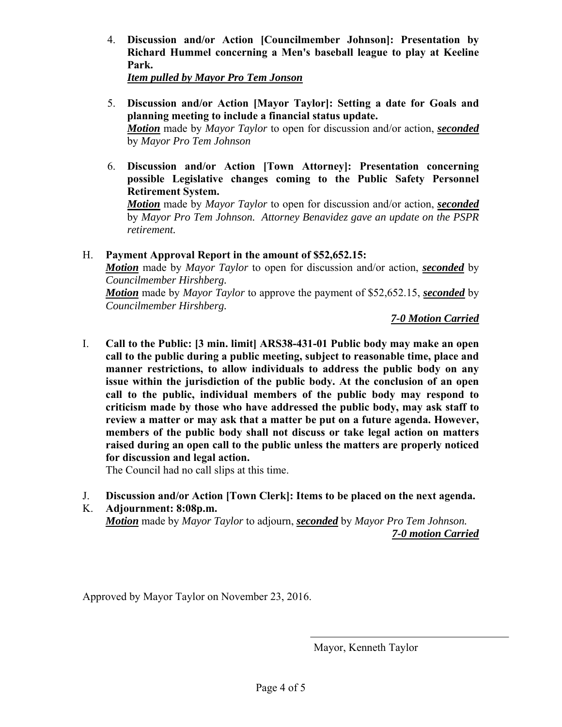4. **Discussion and/or Action [Councilmember Johnson]: Presentation by Richard Hummel concerning a Men's baseball league to play at Keeline Park.** 

*Item pulled by Mayor Pro Tem Jonson*

- 5. **Discussion and/or Action [Mayor Taylor]: Setting a date for Goals and planning meeting to include a financial status update.** *Motion* made by *Mayor Taylor* to open for discussion and/or action, *seconded* by *Mayor Pro Tem Johnson*
- 6. **Discussion and/or Action [Town Attorney]: Presentation concerning possible Legislative changes coming to the Public Safety Personnel Retirement System.**

*Motion* made by *Mayor Taylor* to open for discussion and/or action, *seconded* by *Mayor Pro Tem Johnson. Attorney Benavidez gave an update on the PSPR retirement.* 

H. **Payment Approval Report in the amount of \$52,652.15:**  *Motion* made by *Mayor Taylor* to open for discussion and/or action, *seconded* by *Councilmember Hirshberg. Motion* made by *Mayor Taylor* to approve the payment of \$52,652.15, *seconded* by *Councilmember Hirshberg.*

 *7-0 Motion Carried*

I. **Call to the Public: [3 min. limit] ARS38-431-01 Public body may make an open call to the public during a public meeting, subject to reasonable time, place and manner restrictions, to allow individuals to address the public body on any issue within the jurisdiction of the public body. At the conclusion of an open call to the public, individual members of the public body may respond to criticism made by those who have addressed the public body, may ask staff to review a matter or may ask that a matter be put on a future agenda. However, members of the public body shall not discuss or take legal action on matters raised during an open call to the public unless the matters are properly noticed for discussion and legal action.** 

The Council had no call slips at this time.

- J. **Discussion and/or Action [Town Clerk]: Items to be placed on the next agenda.**
- K. **Adjournment: 8:08p.m.**  *Motion* made by *Mayor Taylor* to adjourn, *seconded* by *Mayor Pro Tem Johnson. 7-0 motion Carried*

Approved by Mayor Taylor on November 23, 2016.

Mayor, Kenneth Taylor